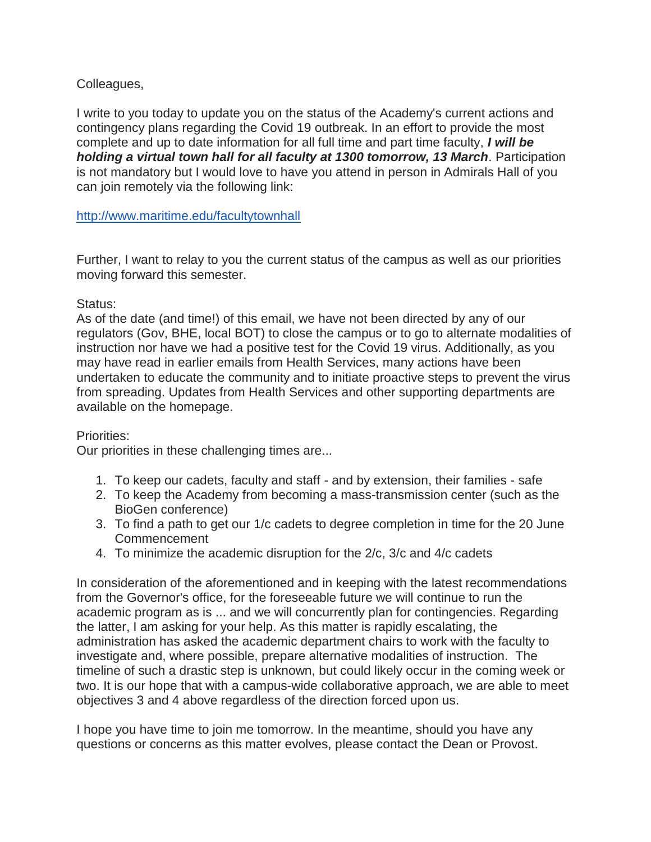## Colleagues,

I write to you today to update you on the status of the Academy's current actions and contingency plans regarding the Covid 19 outbreak. In an effort to provide the most complete and up to date information for all full time and part time faculty, *I will be holding a virtual town hall for all faculty at 1300 tomorrow, 13 March*. Participation is not mandatory but I would love to have you attend in person in Admirals Hall of you can join remotely via the following link:

<http://www.maritime.edu/facultytownhall>

Further, I want to relay to you the current status of the campus as well as our priorities moving forward this semester.

## Status:

As of the date (and time!) of this email, we have not been directed by any of our regulators (Gov, BHE, local BOT) to close the campus or to go to alternate modalities of instruction nor have we had a positive test for the Covid 19 virus. Additionally, as you may have read in earlier emails from Health Services, many actions have been undertaken to educate the community and to initiate proactive steps to prevent the virus from spreading. Updates from Health Services and other supporting departments are available on the homepage.

## Priorities:

Our priorities in these challenging times are...

- 1. To keep our cadets, faculty and staff and by extension, their families safe
- 2. To keep the Academy from becoming a mass-transmission center (such as the BioGen conference)
- 3. To find a path to get our 1/c cadets to degree completion in time for the 20 June Commencement
- 4. To minimize the academic disruption for the 2/c, 3/c and 4/c cadets

In consideration of the aforementioned and in keeping with the latest recommendations from the Governor's office, for the foreseeable future we will continue to run the academic program as is ... and we will concurrently plan for contingencies. Regarding the latter, I am asking for your help. As this matter is rapidly escalating, the administration has asked the academic department chairs to work with the faculty to investigate and, where possible, prepare alternative modalities of instruction. The timeline of such a drastic step is unknown, but could likely occur in the coming week or two. It is our hope that with a campus-wide collaborative approach, we are able to meet objectives 3 and 4 above regardless of the direction forced upon us.

I hope you have time to join me tomorrow. In the meantime, should you have any questions or concerns as this matter evolves, please contact the Dean or Provost.